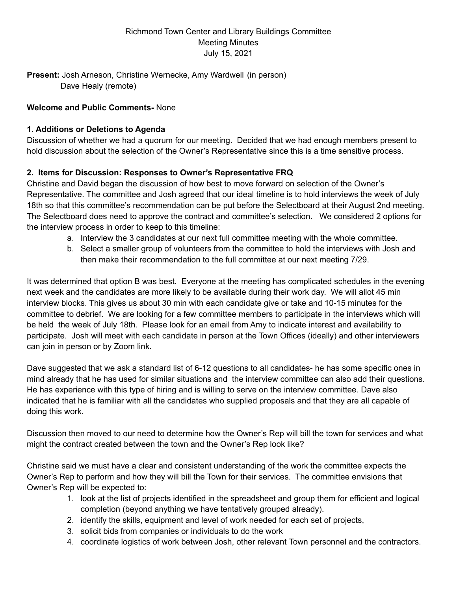## Richmond Town Center and Library Buildings Committee Meeting Minutes July 15, 2021

**Present:** Josh Arneson, Christine Wernecke, Amy Wardwell (in person) Dave Healy (remote)

## **Welcome and Public Comments-** None

## **1. Additions or Deletions to Agenda**

Discussion of whether we had a quorum for our meeting. Decided that we had enough members present to hold discussion about the selection of the Owner's Representative since this is a time sensitive process.

## **2. Items for Discussion: Responses to Owner's Representative FRQ**

Christine and David began the discussion of how best to move forward on selection of the Owner's Representative. The committee and Josh agreed that our ideal timeline is to hold interviews the week of July 18th so that this committee's recommendation can be put before the Selectboard at their August 2nd meeting. The Selectboard does need to approve the contract and committee's selection. We considered 2 options for the interview process in order to keep to this timeline:

- a. Interview the 3 candidates at our next full committee meeting with the whole committee.
- b. Select a smaller group of volunteers from the committee to hold the interviews with Josh and then make their recommendation to the full committee at our next meeting 7/29.

It was determined that option B was best. Everyone at the meeting has complicated schedules in the evening next week and the candidates are more likely to be available during their work day. We will allot 45 min interview blocks. This gives us about 30 min with each candidate give or take and 10-15 minutes for the committee to debrief. We are looking for a few committee members to participate in the interviews which will be held the week of July 18th. Please look for an email from Amy to indicate interest and availability to participate. Josh will meet with each candidate in person at the Town Offices (ideally) and other interviewers can join in person or by Zoom link.

Dave suggested that we ask a standard list of 6-12 questions to all candidates- he has some specific ones in mind already that he has used for similar situations and the interview committee can also add their questions. He has experience with this type of hiring and is willing to serve on the interview committee. Dave also indicated that he is familiar with all the candidates who supplied proposals and that they are all capable of doing this work.

Discussion then moved to our need to determine how the Owner's Rep will bill the town for services and what might the contract created between the town and the Owner's Rep look like?

Christine said we must have a clear and consistent understanding of the work the committee expects the Owner's Rep to perform and how they will bill the Town for their services. The committee envisions that Owner's Rep will be expected to:

- 1. look at the list of projects identified in the spreadsheet and group them for efficient and logical completion (beyond anything we have tentatively grouped already).
- 2. identify the skills, equipment and level of work needed for each set of projects,
- 3. solicit bids from companies or individuals to do the work
- 4. coordinate logistics of work between Josh, other relevant Town personnel and the contractors.